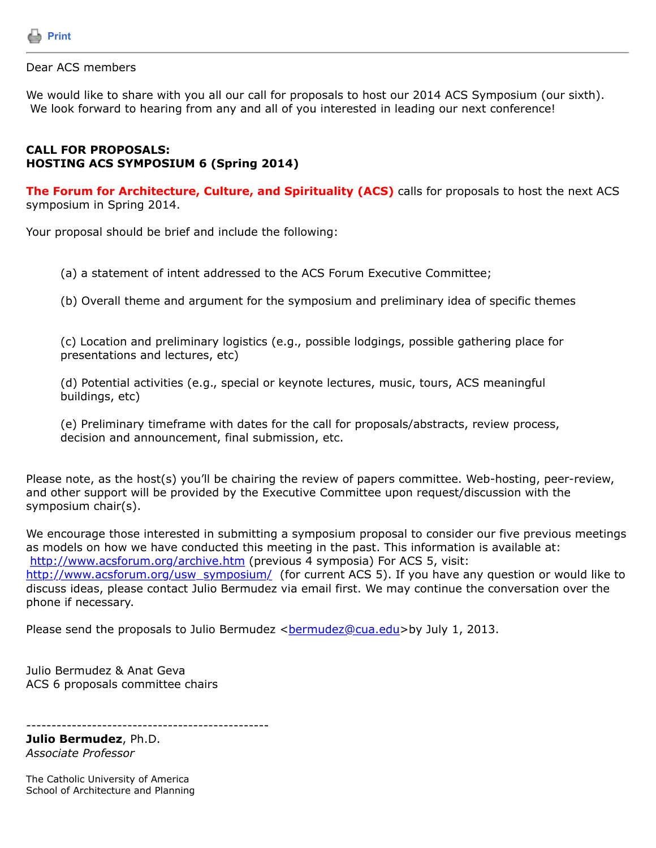

## Dear ACS members

We would like to share with you all our call for proposals to host our 2014 ACS Symposium (our sixth). We look forward to hearing from any and all of you interested in leading our next conference!

## **CALL FOR PROPOSALS: HOSTING ACS SYMPOSIUM 6 (Spring 2014)**

**The Forum for Architecture, Culture, and Spirituality (ACS)** calls for proposals to host the next ACS symposium in Spring 2014.

Your proposal should be brief and include the following:

(a) a statement of intent addressed to the ACS Forum Executive Committee;

(b) Overall theme and argument for the symposium and preliminary idea of specific themes

(c) Location and preliminary logistics (e.g., possible lodgings, possible gathering place for presentations and lectures, etc)

(d) Potential activities (e.g., special or keynote lectures, music, tours, ACS meaningful buildings, etc)

(e) Preliminary timeframe with dates for the call for proposals/abstracts, review process, decision and announcement, final submission, etc.

Please note, as the host(s) you'll be chairing the review of papers committee. Web-hosting, peer-review, and other support will be provided by the Executive Committee upon request/discussion with the symposium chair(s).

We encourage those interested in submitting a symposium proposal to consider our five previous meetings as models on how we have conducted this meeting in the past. This information is available at: <http://www.acsforum.org/archive.htm>(previous 4 symposia) For ACS 5, visit: [http://www.acsforum.org/usw\\_symposium/](http://www.acsforum.org/usw_symposium/) (for current ACS 5). If you have any question or would like to discuss ideas, please contact Julio Bermudez via email first. We may continue the conversation over the phone if necessary.

Please send the proposals to Julio Bermudez <br/>[bermudez@cua.edu](https://listserv.tamu.edu/cgi-bin/bermudez@cua.edu)>by July 1, 2013.

Julio Bermudez & Anat Geva ACS 6 proposals committee chairs

------------------------------------------------

**Julio Bermudez**, Ph.D. *Associate Professor*

The Catholic University of America School of Architecture and Planning